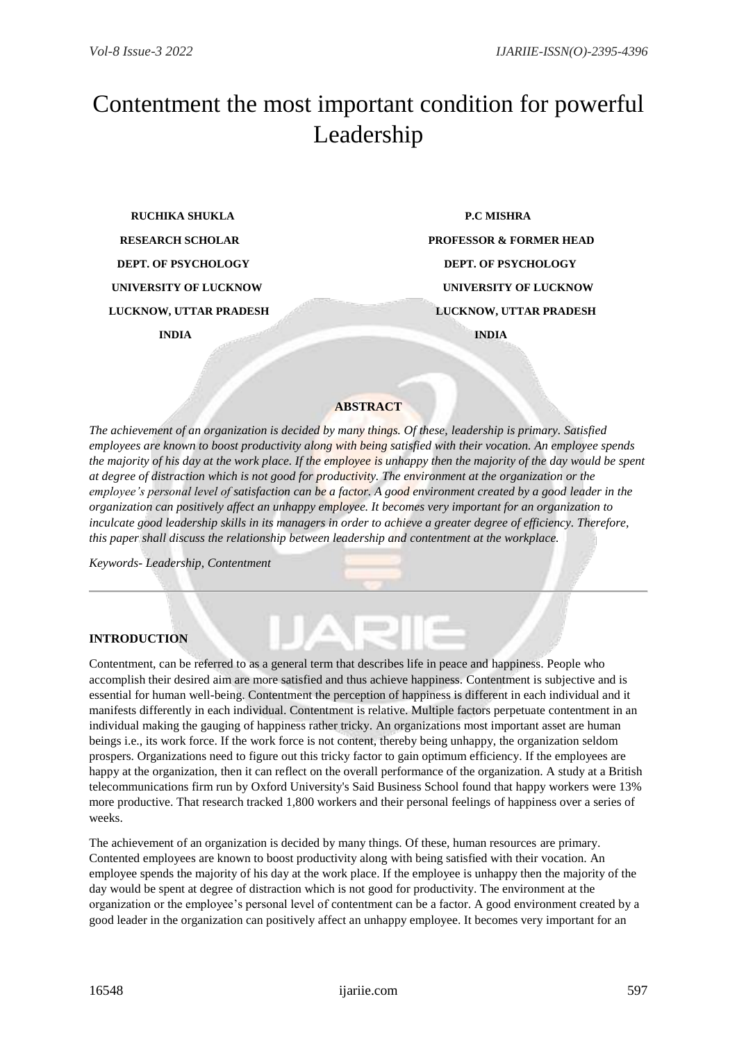# Contentment the most important condition for powerful Leadership

 **RUCHIKA SHUKLA P.C MISHRA DEPT. OF PSYCHOLOGY DEPT. OF PSYCHOLOGY INDIA INDIA**

**RESEARCH SCHOLAR PROFESSOR & FORMER HEAD UNIVERSITY OF LUCKNOW UNIVERSITY OF LUCKNOW LUCKNOW, UTTAR PRADESH LUCKNOW, UTTAR PRADESH**

## **ABSTRACT**

*The achievement of an organization is decided by many things. Of these, leadership is primary. Satisfied employees are known to boost productivity along with being satisfied with their vocation. An employee spends the majority of his day at the work place. If the employee is unhappy then the majority of the day would be spent at degree of distraction which is not good for productivity. The environment at the organization or the employee's personal level of satisfaction can be a factor. A good environment created by a good leader in the organization can positively affect an unhappy employee. It becomes very important for an organization to inculcate good leadership skills in its managers in order to achieve a greater degree of efficiency. Therefore, this paper shall discuss the relationship between leadership and contentment at the workplace.* 

*Keywords- Leadership, Contentment*

# **INTRODUCTION**

Contentment, can be referred to as a general term that describes life in peace and happiness. People who accomplish their desired aim are more satisfied and thus achieve happiness. Contentment is subjective and is essential for human well-being. Contentment the perception of happiness is different in each individual and it manifests differently in each individual. Contentment is relative. Multiple factors perpetuate contentment in an individual making the gauging of happiness rather tricky. An organizations most important asset are human beings i.e., its work force. If the work force is not content, thereby being unhappy, the organization seldom prospers. Organizations need to figure out this tricky factor to gain optimum efficiency. If the employees are happy at the organization, then it can reflect on the overall performance of the organization. A study at a British telecommunications firm run by Oxford University's Said Business School found that happy workers were 13% more productive. That research tracked 1,800 workers and their personal feelings of happiness over a series of weeks.

The achievement of an organization is decided by many things. Of these, human resources are primary. Contented employees are known to boost productivity along with being satisfied with their vocation. An employee spends the majority of his day at the work place. If the employee is unhappy then the majority of the day would be spent at degree of distraction which is not good for productivity. The environment at the organization or the employee's personal level of contentment can be a factor. A good environment created by a good leader in the organization can positively affect an unhappy employee. It becomes very important for an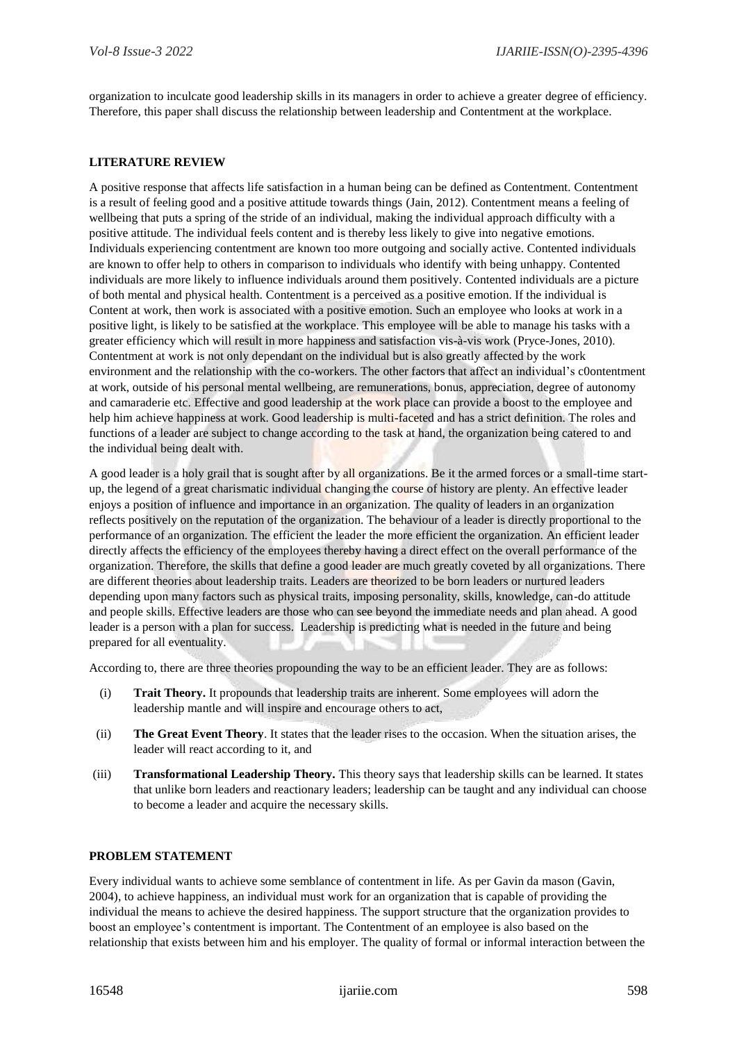organization to inculcate good leadership skills in its managers in order to achieve a greater degree of efficiency. Therefore, this paper shall discuss the relationship between leadership and Contentment at the workplace.

## **LITERATURE REVIEW**

A positive response that affects life satisfaction in a human being can be defined as Contentment. Contentment is a result of feeling good and a positive attitude towards things (Jain, 2012). Contentment means a feeling of wellbeing that puts a spring of the stride of an individual, making the individual approach difficulty with a positive attitude. The individual feels content and is thereby less likely to give into negative emotions. Individuals experiencing contentment are known too more outgoing and socially active. Contented individuals are known to offer help to others in comparison to individuals who identify with being unhappy. Contented individuals are more likely to influence individuals around them positively. Contented individuals are a picture of both mental and physical health. Contentment is a perceived as a positive emotion. If the individual is Content at work, then work is associated with a positive emotion. Such an employee who looks at work in a positive light, is likely to be satisfied at the workplace. This employee will be able to manage his tasks with a greater efficiency which will result in more happiness and satisfaction vis-à-vis work (Pryce-Jones, 2010). Contentment at work is not only dependant on the individual but is also greatly affected by the work environment and the relationship with the co-workers. The other factors that affect an individual's c0ontentment at work, outside of his personal mental wellbeing, are remunerations, bonus, appreciation, degree of autonomy and camaraderie etc. Effective and good leadership at the work place can provide a boost to the employee and help him achieve happiness at work. Good leadership is multi-faceted and has a strict definition. The roles and functions of a leader are subject to change according to the task at hand, the organization being catered to and the individual being dealt with.

A good leader is a holy grail that is sought after by all organizations. Be it the armed forces or a small-time startup, the legend of a great charismatic individual changing the course of history are plenty. An effective leader enjoys a position of influence and importance in an organization. The quality of leaders in an organization reflects positively on the reputation of the organization. The behaviour of a leader is directly proportional to the performance of an organization. The efficient the leader the more efficient the organization. An efficient leader directly affects the efficiency of the employees thereby having a direct effect on the overall performance of the organization. Therefore, the skills that define a good leader are much greatly coveted by all organizations. There are different theories about leadership traits. Leaders are theorized to be born leaders or nurtured leaders depending upon many factors such as physical traits, imposing personality, skills, knowledge, can-do attitude and people skills. Effective leaders are those who can see beyond the immediate needs and plan ahead. A good leader is a person with a plan for success. Leadership is predicting what is needed in the future and being prepared for all eventuality.

According to, there are three theories propounding the way to be an efficient leader. They are as follows:

- (i) **Trait Theory.** It propounds that leadership traits are inherent. Some employees will adorn the leadership mantle and will inspire and encourage others to act,
- (ii) **The Great Event Theory**. It states that the leader rises to the occasion. When the situation arises, the leader will react according to it, and
- (iii) **Transformational Leadership Theory.** This theory says that leadership skills can be learned. It states that unlike born leaders and reactionary leaders; leadership can be taught and any individual can choose to become a leader and acquire the necessary skills.

#### **PROBLEM STATEMENT**

Every individual wants to achieve some semblance of contentment in life. As per Gavin da mason (Gavin, 2004), to achieve happiness, an individual must work for an organization that is capable of providing the individual the means to achieve the desired happiness. The support structure that the organization provides to boost an employee's contentment is important. The Contentment of an employee is also based on the relationship that exists between him and his employer. The quality of formal or informal interaction between the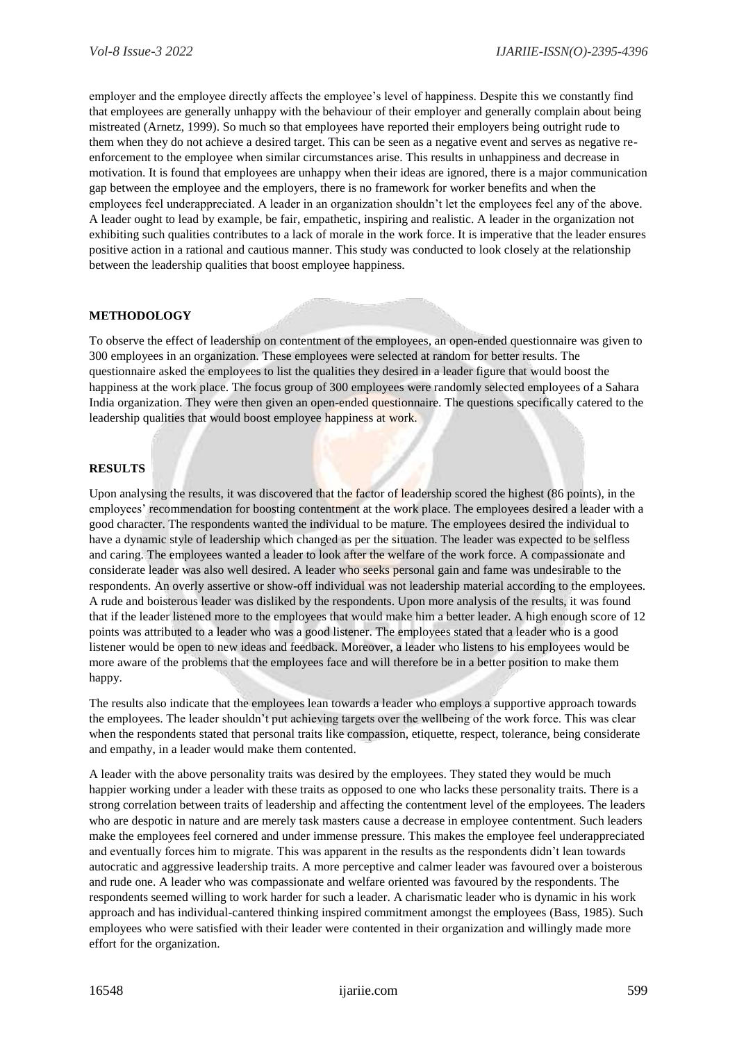employer and the employee directly affects the employee's level of happiness. Despite this we constantly find that employees are generally unhappy with the behaviour of their employer and generally complain about being mistreated (Arnetz, 1999). So much so that employees have reported their employers being outright rude to them when they do not achieve a desired target. This can be seen as a negative event and serves as negative reenforcement to the employee when similar circumstances arise. This results in unhappiness and decrease in motivation. It is found that employees are unhappy when their ideas are ignored, there is a major communication gap between the employee and the employers, there is no framework for worker benefits and when the employees feel underappreciated. A leader in an organization shouldn't let the employees feel any of the above. A leader ought to lead by example, be fair, empathetic, inspiring and realistic. A leader in the organization not exhibiting such qualities contributes to a lack of morale in the work force. It is imperative that the leader ensures positive action in a rational and cautious manner. This study was conducted to look closely at the relationship between the leadership qualities that boost employee happiness.

#### **METHODOLOGY**

To observe the effect of leadership on contentment of the employees, an open-ended questionnaire was given to 300 employees in an organization. These employees were selected at random for better results. The questionnaire asked the employees to list the qualities they desired in a leader figure that would boost the happiness at the work place. The focus group of 300 employees were randomly selected employees of a Sahara India organization. They were then given an open-ended questionnaire. The questions specifically catered to the leadership qualities that would boost employee happiness at work.

#### **RESULTS**

Upon analysing the results, it was discovered that the factor of leadership scored the highest (86 points), in the employees' recommendation for boosting contentment at the work place. The employees desired a leader with a good character. The respondents wanted the individual to be mature. The employees desired the individual to have a dynamic style of leadership which changed as per the situation. The leader was expected to be selfless and caring. The employees wanted a leader to look after the welfare of the work force. A compassionate and considerate leader was also well desired. A leader who seeks personal gain and fame was undesirable to the respondents. An overly assertive or show-off individual was not leadership material according to the employees. A rude and boisterous leader was disliked by the respondents. Upon more analysis of the results, it was found that if the leader listened more to the employees that would make him a better leader. A high enough score of 12 points was attributed to a leader who was a good listener. The employees stated that a leader who is a good listener would be open to new ideas and feedback. Moreover, a leader who listens to his employees would be more aware of the problems that the employees face and will therefore be in a better position to make them happy.

The results also indicate that the employees lean towards a leader who employs a supportive approach towards the employees. The leader shouldn't put achieving targets over the wellbeing of the work force. This was clear when the respondents stated that personal traits like compassion, etiquette, respect, tolerance, being considerate and empathy, in a leader would make them contented.

A leader with the above personality traits was desired by the employees. They stated they would be much happier working under a leader with these traits as opposed to one who lacks these personality traits. There is a strong correlation between traits of leadership and affecting the contentment level of the employees. The leaders who are despotic in nature and are merely task masters cause a decrease in employee contentment. Such leaders make the employees feel cornered and under immense pressure. This makes the employee feel underappreciated and eventually forces him to migrate. This was apparent in the results as the respondents didn't lean towards autocratic and aggressive leadership traits. A more perceptive and calmer leader was favoured over a boisterous and rude one. A leader who was compassionate and welfare oriented was favoured by the respondents. The respondents seemed willing to work harder for such a leader. A charismatic leader who is dynamic in his work approach and has individual-cantered thinking inspired commitment amongst the employees (Bass, 1985). Such employees who were satisfied with their leader were contented in their organization and willingly made more effort for the organization.